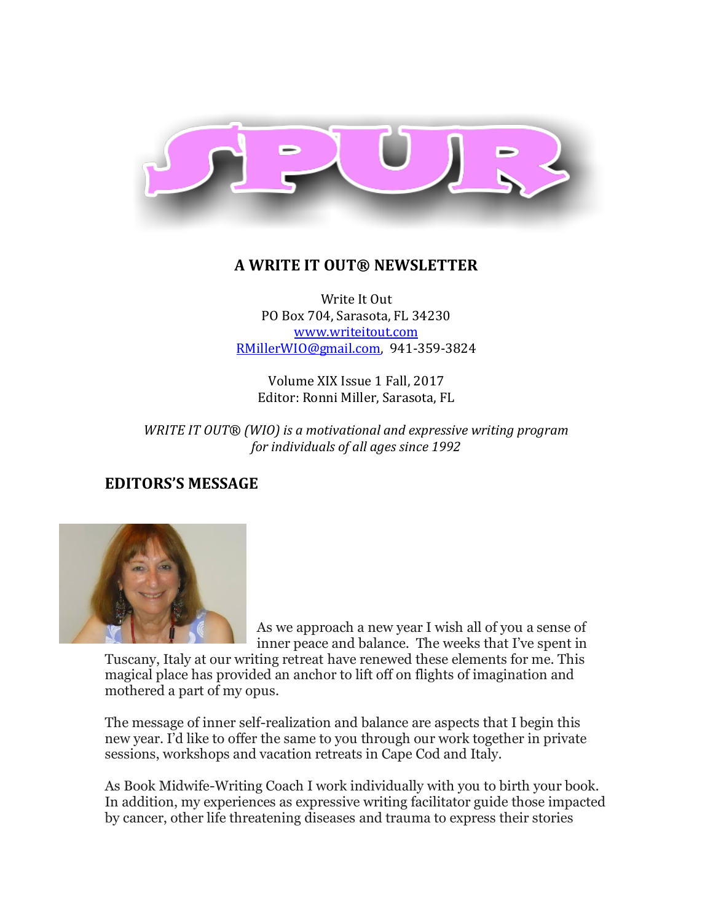

## **A WRITE IT OUT® NEWSLETTER**

Write It Out PO Box 704, Sarasota, FL 34230 [www.writeitout.com](http://www.writeitout.com/) [RMillerWIO@gmail.com,](mailto:RMillerWIO@gmail.com) 941-359-3824

Volume XIX Issue 1 Fall, 2017 Editor: Ronni Miller, Sarasota, FL

*WRITE IT OUT® (WIO) is a motivational and expressive writing program for individuals of all ages since 1992*

## **EDITORS'S MESSAGE**



As we approach a new year I wish all of you a sense of inner peace and balance. The weeks that I've spent in

Tuscany, Italy at our writing retreat have renewed these elements for me. This magical place has provided an anchor to lift off on flights of imagination and mothered a part of my opus.

The message of inner self-realization and balance are aspects that I begin this new year. I'd like to offer the same to you through our work together in private sessions, workshops and vacation retreats in Cape Cod and Italy.

As Book Midwife-Writing Coach I work individually with you to birth your book. In addition, my experiences as expressive writing facilitator guide those impacted by cancer, other life threatening diseases and trauma to express their stories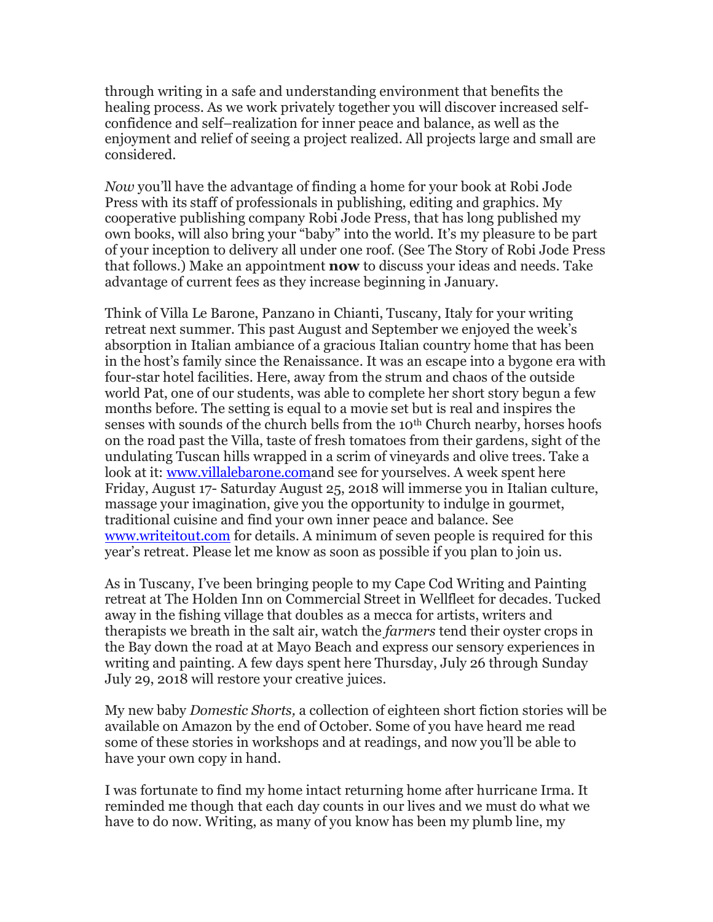through writing in a safe and understanding environment that benefits the healing process. As we work privately together you will discover increased selfconfidence and self–realization for inner peace and balance, as well as the enjoyment and relief of seeing a project realized. All projects large and small are considered.

*Now* you'll have the advantage of finding a home for your book at Robi Jode Press with its staff of professionals in publishing, editing and graphics. My cooperative publishing company Robi Jode Press, that has long published my own books, will also bring your "baby" into the world. It's my pleasure to be part of your inception to delivery all under one roof. (See The Story of Robi Jode Press that follows.) Make an appointment **now** to discuss your ideas and needs. Take advantage of current fees as they increase beginning in January.

Think of Villa Le Barone, Panzano in Chianti, Tuscany, Italy for your writing retreat next summer. This past August and September we enjoyed the week's absorption in Italian ambiance of a gracious Italian country home that has been in the host's family since the Renaissance. It was an escape into a bygone era with four-star hotel facilities. Here, away from the strum and chaos of the outside world Pat, one of our students, was able to complete her short story begun a few months before. The setting is equal to a movie set but is real and inspires the senses with sounds of the church bells from the 10<sup>th</sup> Church nearby, horses hoofs on the road past the Villa, taste of fresh tomatoes from their gardens, sight of the undulating Tuscan hills wrapped in a scrim of vineyards and olive trees. Take a look at it: [www.villalebarone.coma](http://www.villalebarone.com/)nd see for yourselves. A week spent here Friday, August 17- Saturday August 25, 2018 will immerse you in Italian culture, massage your imagination, give you the opportunity to indulge in gourmet, traditional cuisine and find your own inner peace and balance. See [www.writeitout.com](http://www.writeitout.com/) for details. A minimum of seven people is required for this year's retreat. Please let me know as soon as possible if you plan to join us.

As in Tuscany, I've been bringing people to my Cape Cod Writing and Painting retreat at The Holden Inn on Commercial Street in Wellfleet for decades. Tucked away in the fishing village that doubles as a mecca for artists, writers and therapists we breath in the salt air, watch the *farmers* tend their oyster crops in the Bay down the road at at Mayo Beach and express our sensory experiences in writing and painting. A few days spent here Thursday, July 26 through Sunday July 29, 2018 will restore your creative juices.

My new baby *Domestic Shorts,* a collection of eighteen short fiction stories will be available on Amazon by the end of October. Some of you have heard me read some of these stories in workshops and at readings, and now you'll be able to have your own copy in hand.

I was fortunate to find my home intact returning home after hurricane Irma. It reminded me though that each day counts in our lives and we must do what we have to do now. Writing, as many of you know has been my plumb line, my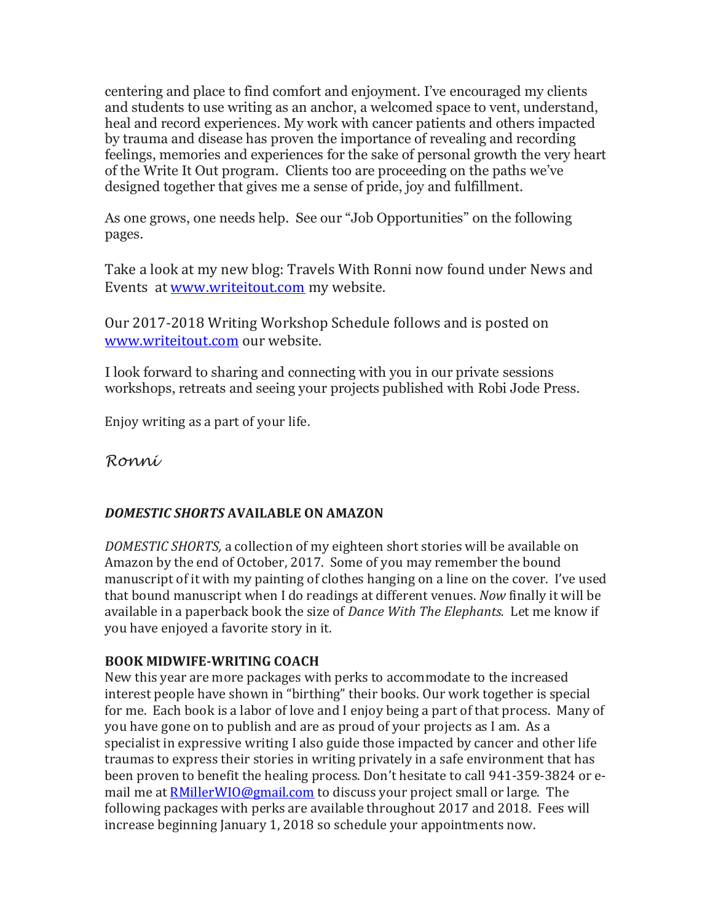centering and place to find comfort and enjoyment. I've encouraged my clients and students to use writing as an anchor, a welcomed space to vent, understand, heal and record experiences. My work with cancer patients and others impacted by trauma and disease has proven the importance of revealing and recording feelings, memories and experiences for the sake of personal growth the very heart of the Write It Out program. Clients too are proceeding on the paths we've designed together that gives me a sense of pride, joy and fulfillment.

As one grows, one needs help. See our "Job Opportunities" on the following pages.

Take a look at my new blog: Travels With Ronni now found under News and Events at [www.writeitout.com](http://www.writeitout.com/) my website.

Our 2017-2018 Writing Workshop Schedule follows and is posted on [www.writeitout.com](http://www.writeitout.com/) our website.

I look forward to sharing and connecting with you in our private sessions workshops, retreats and seeing your projects published with Robi Jode Press.

Enjoy writing as a part of your life.

*Ronni*

## *DOMESTIC SHORTS* **AVAILABLE ON AMAZON**

*DOMESTIC SHORTS,* a collection of my eighteen short stories will be available on Amazon by the end of October, 2017. Some of you may remember the bound manuscript of it with my painting of clothes hanging on a line on the cover. I've used that bound manuscript when I do readings at different venues. *Now* finally it will be available in a paperback book the size of *Dance With The Elephants.* Let me know if you have enjoyed a favorite story in it.

## **BOOK MIDWIFE-WRITING COACH**

New this year are more packages with perks to accommodate to the increased interest people have shown in "birthing" their books. Our work together is special for me. Each book is a labor of love and I enjoy being a part of that process. Many of you have gone on to publish and are as proud of your projects as I am. As a specialist in expressive writing I also guide those impacted by cancer and other life traumas to express their stories in writing privately in a safe environment that has been proven to benefit the healing process. Don't hesitate to call 941-359-3824 or email me at **RMillerWIO@gmail.com** to discuss your project small or large. The following packages with perks are available throughout 2017 and 2018. Fees will increase beginning January 1, 2018 so schedule your appointments now.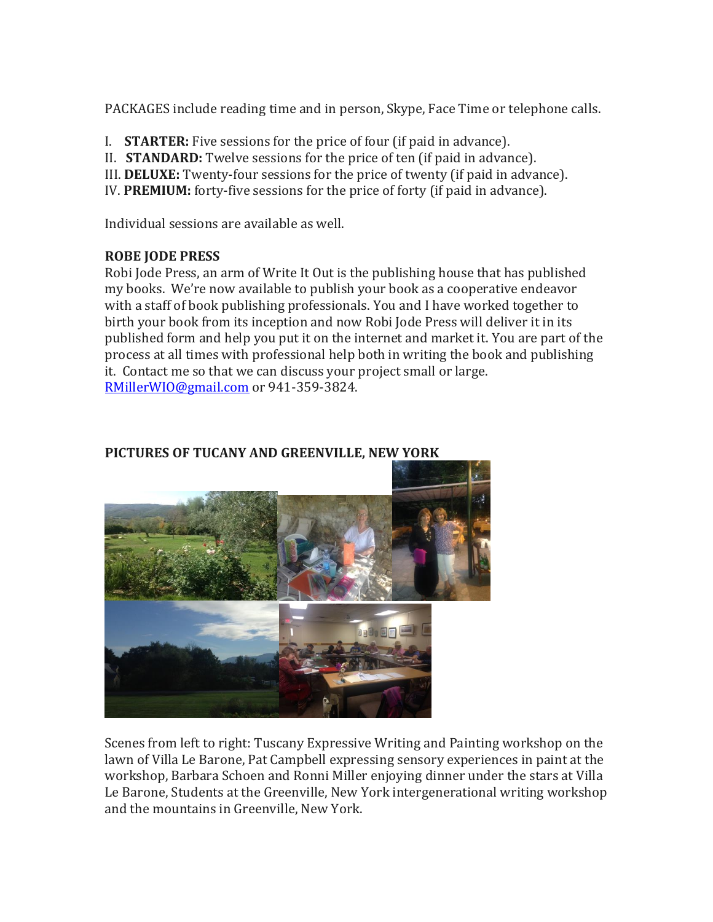PACKAGES include reading time and in person, Skype, Face Time or telephone calls.

- I. **STARTER:** Five sessions for the price of four (if paid in advance).
- II. **STANDARD:** Twelve sessions for the price of ten (if paid in advance).
- III. **DELUXE:** Twenty-four sessions for the price of twenty (if paid in advance).
- IV. **PREMIUM:** forty-five sessions for the price of forty (if paid in advance).

Individual sessions are available as well.

### **ROBE JODE PRESS**

Robi Jode Press, an arm of Write It Out is the publishing house that has published my books. We're now available to publish your book as a cooperative endeavor with a staff of book publishing professionals. You and I have worked together to birth your book from its inception and now Robi Jode Press will deliver it in its published form and help you put it on the internet and market it. You are part of the process at all times with professional help both in writing the book and publishing it. Contact me so that we can discuss your project small or large. [RMillerWIO@gmail.com](mailto:RMillerWIO@gmail.com) or 941-359-3824.



### **PICTURES OF TUCANY AND GREENVILLE, NEW YORK**

Scenes from left to right: Tuscany Expressive Writing and Painting workshop on the lawn of Villa Le Barone, Pat Campbell expressing sensory experiences in paint at the workshop, Barbara Schoen and Ronni Miller enjoying dinner under the stars at Villa Le Barone, Students at the Greenville, New York intergenerational writing workshop and the mountains in Greenville, New York.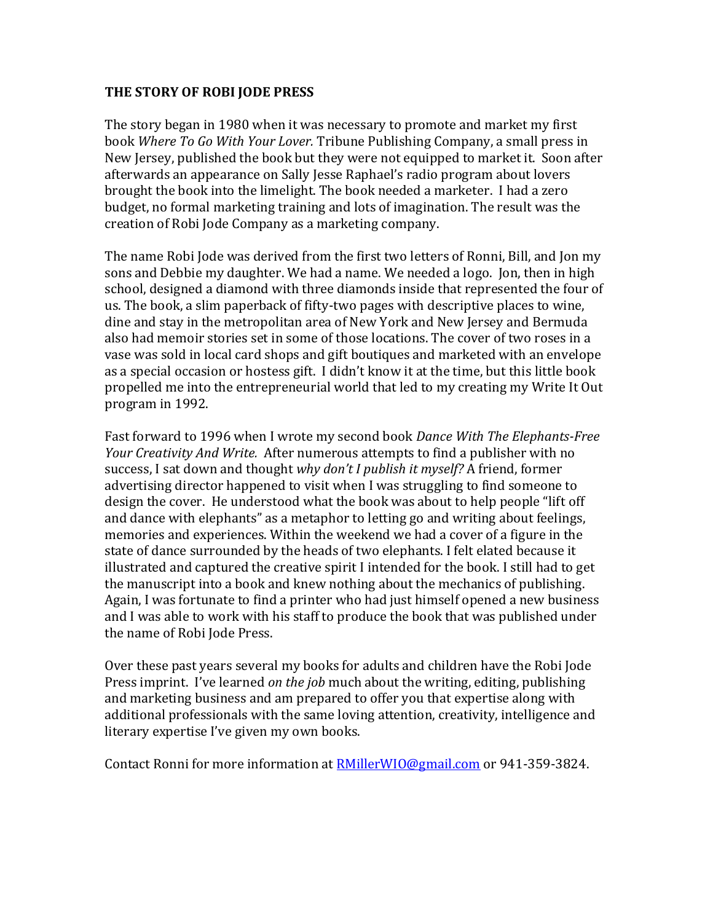#### **THE STORY OF ROBI JODE PRESS**

The story began in 1980 when it was necessary to promote and market my first book *Where To Go With Your Lover.* Tribune Publishing Company, a small press in New Jersey, published the book but they were not equipped to market it. Soon after afterwards an appearance on Sally Jesse Raphael's radio program about lovers brought the book into the limelight. The book needed a marketer. I had a zero budget, no formal marketing training and lots of imagination. The result was the creation of Robi Jode Company as a marketing company.

The name Robi Jode was derived from the first two letters of Ronni, Bill, and Jon my sons and Debbie my daughter. We had a name. We needed a logo. Jon, then in high school, designed a diamond with three diamonds inside that represented the four of us. The book, a slim paperback of fifty-two pages with descriptive places to wine, dine and stay in the metropolitan area of New York and New Jersey and Bermuda also had memoir stories set in some of those locations. The cover of two roses in a vase was sold in local card shops and gift boutiques and marketed with an envelope as a special occasion or hostess gift. I didn't know it at the time, but this little book propelled me into the entrepreneurial world that led to my creating my Write It Out program in 1992.

Fast forward to 1996 when I wrote my second book *Dance With The Elephants-Free Your Creativity And Write.* After numerous attempts to find a publisher with no success, I sat down and thought *why don't I publish it myself?* A friend, former advertising director happened to visit when I was struggling to find someone to design the cover. He understood what the book was about to help people "lift off and dance with elephants" as a metaphor to letting go and writing about feelings, memories and experiences. Within the weekend we had a cover of a figure in the state of dance surrounded by the heads of two elephants. I felt elated because it illustrated and captured the creative spirit I intended for the book. I still had to get the manuscript into a book and knew nothing about the mechanics of publishing. Again, I was fortunate to find a printer who had just himself opened a new business and I was able to work with his staff to produce the book that was published under the name of Robi Jode Press.

Over these past years several my books for adults and children have the Robi Jode Press imprint. I've learned *on the job* much about the writing, editing, publishing and marketing business and am prepared to offer you that expertise along with additional professionals with the same loving attention, creativity, intelligence and literary expertise I've given my own books.

Contact Ronni for more information at [RMillerWIO@gmail.com](mailto:RMillerWIO@gmail.com) or 941-359-3824.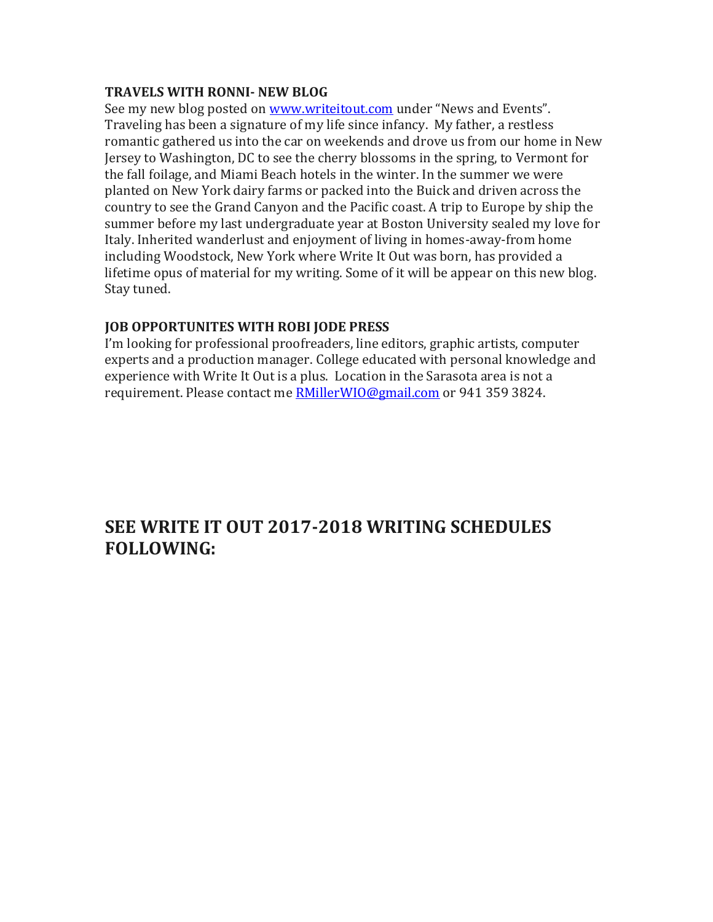#### **TRAVELS WITH RONNI- NEW BLOG**

See my new blog posted on [www.writeitout.com](http://www.writeitout.com/) under "News and Events". Traveling has been a signature of my life since infancy. My father, a restless romantic gathered us into the car on weekends and drove us from our home in New Jersey to Washington, DC to see the cherry blossoms in the spring, to Vermont for the fall foilage, and Miami Beach hotels in the winter. In the summer we were planted on New York dairy farms or packed into the Buick and driven across the country to see the Grand Canyon and the Pacific coast. A trip to Europe by ship the summer before my last undergraduate year at Boston University sealed my love for Italy. Inherited wanderlust and enjoyment of living in homes-away-from home including Woodstock, New York where Write It Out was born, has provided a lifetime opus of material for my writing. Some of it will be appear on this new blog. Stay tuned.

### **JOB OPPORTUNITES WITH ROBI JODE PRESS**

I'm looking for professional proofreaders, line editors, graphic artists, computer experts and a production manager. College educated with personal knowledge and experience with Write It Out is a plus. Location in the Sarasota area is not a requirement. Please contact me [RMillerWIO@gmail.com](mailto:RMillerWIO@gmail.com) or 941 359 3824.

## **SEE WRITE IT OUT 2017-2018 WRITING SCHEDULES FOLLOWING:**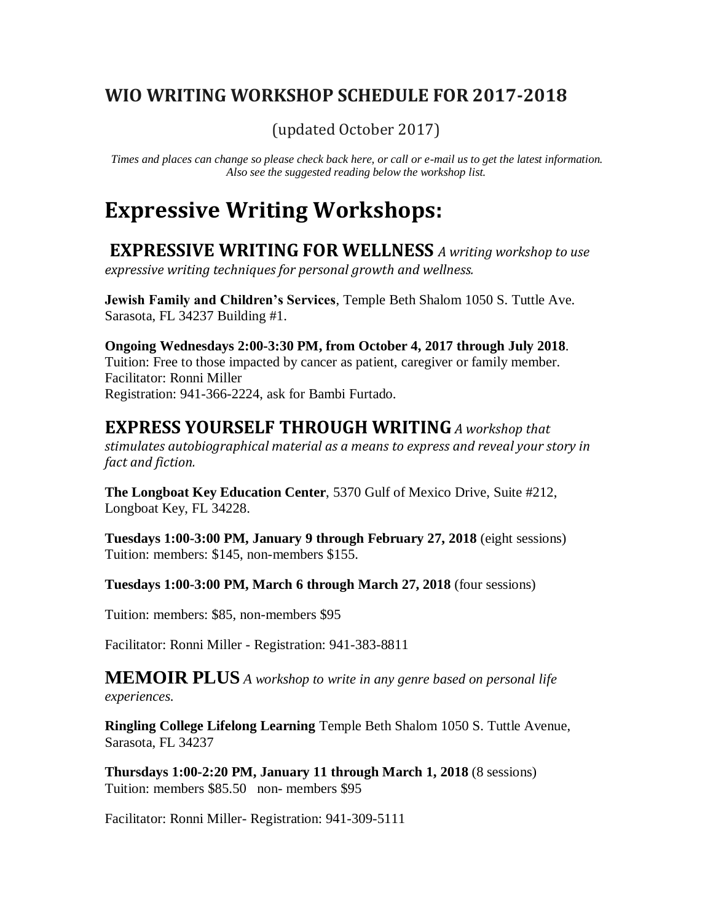## **WIO WRITING WORKSHOP SCHEDULE FOR 2017-2018**

(updated October 2017)

*Times and places can change so please check back here, or call or e-mail us to get the latest information. Also see the suggested reading below the workshop list.*

## **Expressive Writing Workshops:**

**EXPRESSIVE WRITING FOR WELLNESS** *A writing workshop to use expressive writing techniques for personal growth and wellness.*

**Jewish Family and Children's Services**, Temple Beth Shalom 1050 S. Tuttle Ave. Sarasota, FL 34237 Building #1.

**Ongoing Wednesdays 2:00-3:30 PM, from October 4, 2017 through July 2018**. Tuition: Free to those impacted by cancer as patient, caregiver or family member. Facilitator: Ronni Miller Registration: 941-366-2224, ask for Bambi Furtado.

## **EXPRESS YOURSELF THROUGH WRITING** *A workshop that*

*stimulates autobiographical material as a means to express and reveal your story in fact and fiction.*

**The Longboat Key Education Center**, 5370 Gulf of Mexico Drive, Suite #212, Longboat Key, FL 34228.

**Tuesdays 1:00-3:00 PM, January 9 through February 27, 2018** (eight sessions) Tuition: members: \$145, non-members \$155.

**Tuesdays 1:00-3:00 PM, March 6 through March 27, 2018** (four sessions)

Tuition: members: \$85, non-members \$95

Facilitator: Ronni Miller - Registration: 941-383-8811

**MEMOIR PLUS** *A workshop to write in any genre based on personal life experiences.*

**Ringling College Lifelong Learning** Temple Beth Shalom 1050 S. Tuttle Avenue, Sarasota, FL 34237

**Thursdays 1:00-2:20 PM, January 11 through March 1, 2018** (8 sessions) Tuition: members \$85.50 non- members \$95

Facilitator: Ronni Miller- Registration: 941-309-5111